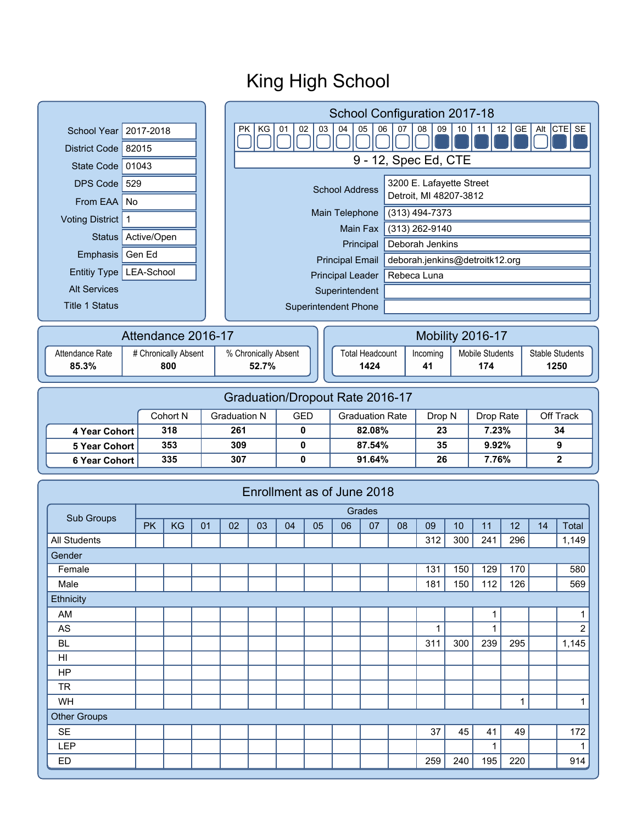#### **Superintendent** Superintendent Phone School Year 2017-2018 District Code 82015 State Code  $01043$ DPS Code  $529$ From EAA  $\vert$  No Voting District 1 Emphasis Gen Ed Status Active/Open Entitiy Type | LEA-School Alt Services Title 1 Status PK KG 01 02 03 04 05 06 07 08 09 10 11 12 GE Alt CTE SE 0 0 0 0 0 0 0 0 0 0 1 1 1 1 1 0 1 1 King High School 9 - 12, Spec Ed, CTE 3200 E. Lafayette Street Detroit, MI 48207-3812 Main Telephone (313) 494-7373 Main Fax (313) 262-9140 Principal Principal Leader | Rebeca Luna deborah.jenkins@detroitk12.org Deborah Jenkins School Configuration 2017-18 School Address Principal Email Attendance Rate | # Chronically Absent | % Chronically Absent **85.3% 52.7%** Attendance 2016-17 Total Headcount | Incoming | Mobile Students | Stable Students **1424 41 174 1250** Mobility 2016-17 Cohort N Graduation N GED Graduation Rate Drop N Drop Rate Off Track **4 Year Cohort 318 261 0 82.08% 23 7.23% 34 5 Year Cohort 353 309 0 87.54% 35 9.92% 9 6 Year Cohort 335 307 0 91.64% 26 7.76% 2** Graduation/Dropout Rate 2016-17 PK | KG | 01 | 02 | 03 | 04 | 05 | 06 | 07 | 08 | 09 | 10 | 11 | 12 | 14 | Total Grades Sub Groups Female 131 150 129 170 580 Male 181 150 112 126 569 AM | | | | | | | | | | | | | | 1 AS | | | | | | | | | | | | 1| | 1| | | 2 BL 311 300 239 295 1,145 HI HP Enrollment as of June 2018 All Students 312 300 241 296 1,149 Gender **Ethnicity 800**

WH | | | | | | | | | | | | | | | | 1

SE | | | | | | | | | | | | 37 | 45 | 41 | 49 | 172

LEP | | | | | | | | | | | | | | 1 ED 259 240 195 220 914

TR

Other Groups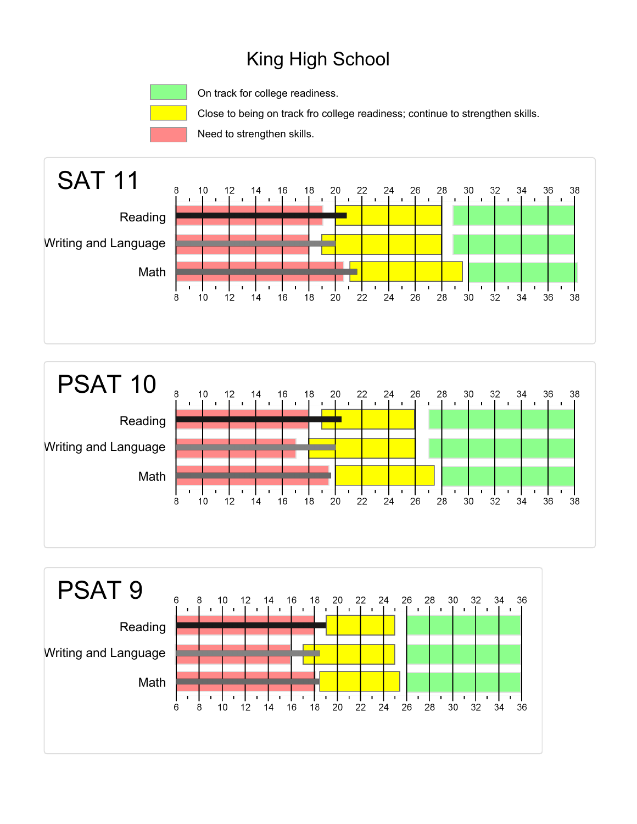On track for college readiness.

Close to being on track fro college readiness; continue to strengthen skills.

Need to strengthen skills.





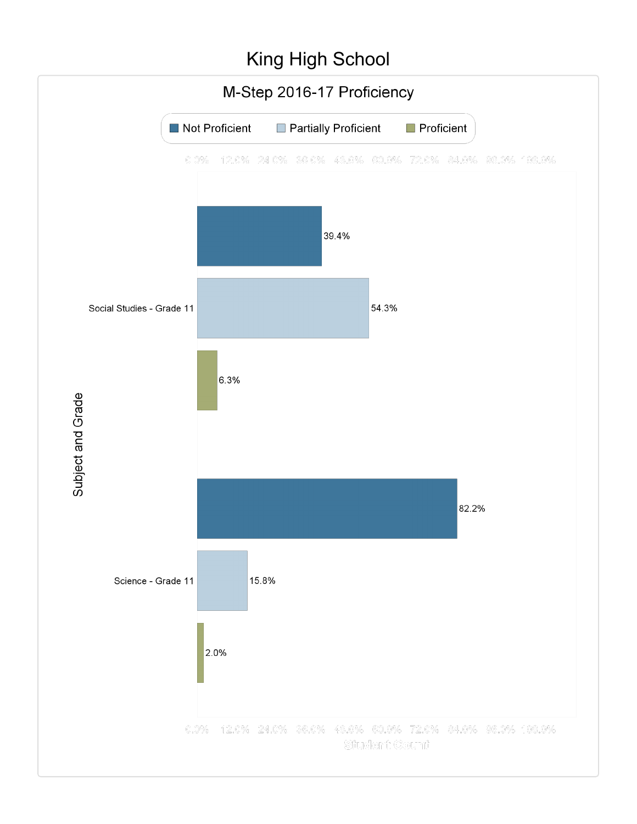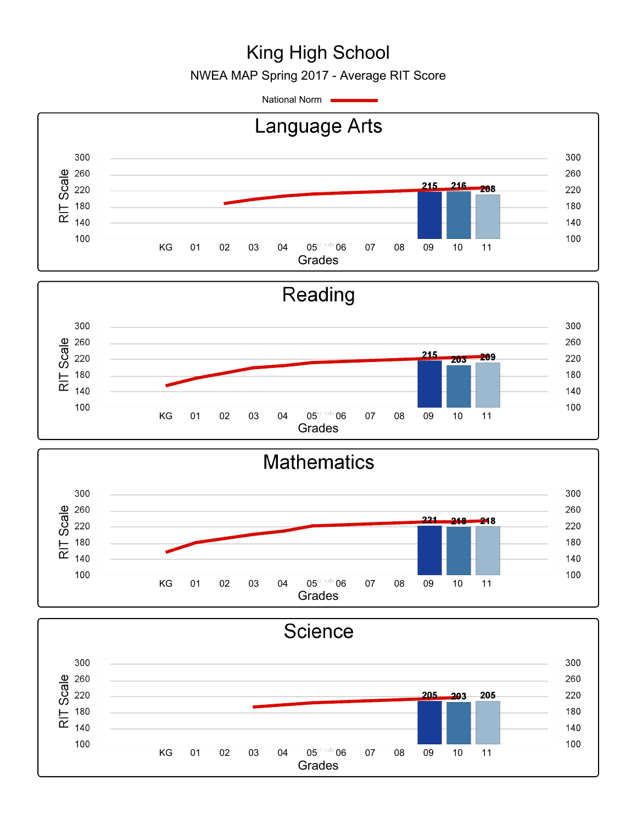NWEA MAP Spring 2017 - Average RIT Score

National Norm